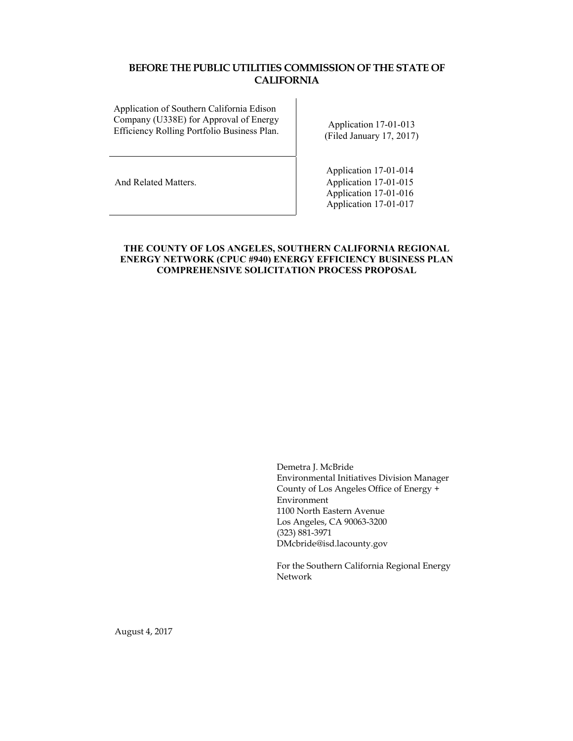## **BEFORE THE PUBLIC UTILITIES COMMISSION OF THE STATE OF CALIFORNIA**

Application of Southern California Edison Company (U338E) for Approval of Energy Efficiency Rolling Portfolio Business Plan.<br>Efficiency Rolling Portfolio Business Plan.

(Filed January 17, 2017)

Application 17-01-014 And Related Matters. Application 17-01-015 Application 17-01-016 Application 17-01-017

## **THE COUNTY OF LOS ANGELES, SOUTHERN CALIFORNIA REGIONAL ENERGY NETWORK (CPUC #940) ENERGY EFFICIENCY BUSINESS PLAN COMPREHENSIVE SOLICITATION PROCESS PROPOSAL**

Demetra J. McBride Environmental Initiatives Division Manager County of Los Angeles Office of Energy + Environment 1100 North Eastern Avenue Los Angeles, CA 90063-3200 (323) 8813971 DMcbride@isd.lacounty.gov

For the Southern California Regional Energy Network

August 4, 2017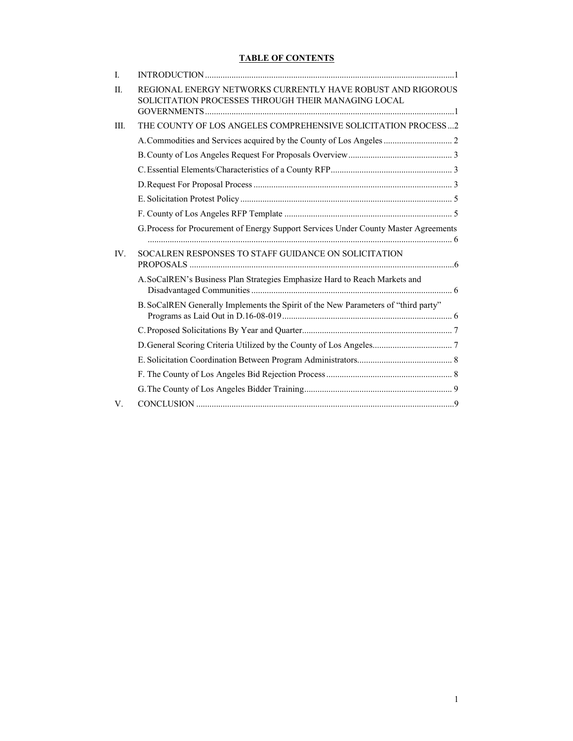# **TABLE OF CONTENTS**

| $\mathbf{I}$ . |                                                                                                                    |  |
|----------------|--------------------------------------------------------------------------------------------------------------------|--|
| $\Pi$ .        | REGIONAL ENERGY NETWORKS CURRENTLY HAVE ROBUST AND RIGOROUS<br>SOLICITATION PROCESSES THROUGH THEIR MANAGING LOCAL |  |
| III.           | THE COUNTY OF LOS ANGELES COMPREHENSIVE SOLICITATION PROCESS2                                                      |  |
|                |                                                                                                                    |  |
|                |                                                                                                                    |  |
|                |                                                                                                                    |  |
|                |                                                                                                                    |  |
|                |                                                                                                                    |  |
|                |                                                                                                                    |  |
|                | G. Process for Procurement of Energy Support Services Under County Master Agreements                               |  |
| $IV_{-}$       | SOCALREN RESPONSES TO STAFF GUIDANCE ON SOLICITATION                                                               |  |
|                | A. SoCalREN's Business Plan Strategies Emphasize Hard to Reach Markets and                                         |  |
|                | B. SoCalREN Generally Implements the Spirit of the New Parameters of "third party"                                 |  |
|                |                                                                                                                    |  |
|                |                                                                                                                    |  |
|                |                                                                                                                    |  |
|                |                                                                                                                    |  |
|                |                                                                                                                    |  |
| V.             |                                                                                                                    |  |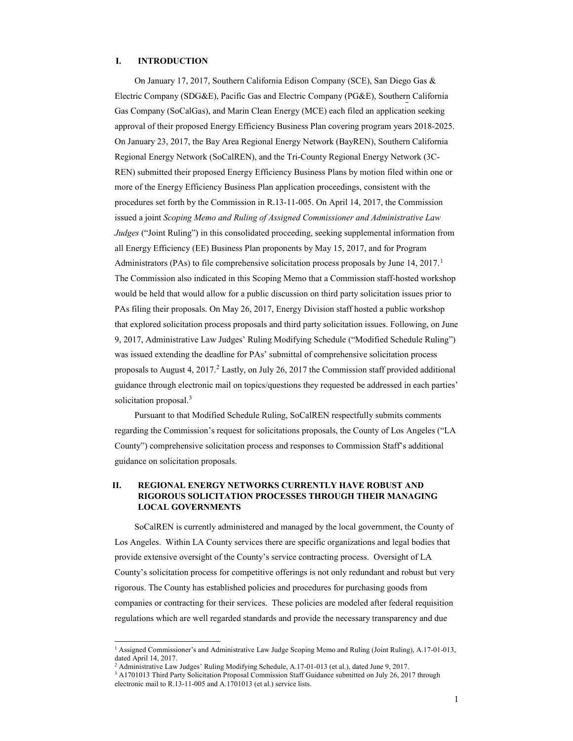### **I. INTRODUCTION**

On January 17, 2017, Southern California Edison Company (SCE), San Diego Gas & Electric Company (SDG&E), Pacific Gas and Electric Company (PG&E), Southern California Gas Company (SoCalGas), and Marin Clean Energy (MCE) each filed an application seeking approval of their proposed Energy Efficiency Business Plan covering program years 2018-2025. On January 23, 2017, the Bay Area Regional Energy Network (BayREN), Southern California Regional Energy Network (SoCalREN), and the Tri-County Regional Energy Network (3C-REN) submitted their proposed Energy Efficiency Business Plans by motion filed within one or more of the Energy Efficiency Business Plan application proceedings, consistent with the procedures set forth by the Commission in R.13-11-005. On April 14, 2017, the Commission issued a joint *Scoping Memo and Ruling of Assigned Commissioner and Administrative Law Judges* ("Joint Ruling") in this consolidated proceeding, seeking supplemental information from all Energy Efficiency (EE) Business Plan proponents by May 15, 2017, and for Program Administrators (PAs) to file comprehensive solicitation process proposals by June  $14, 2017$ .<sup>1</sup> The Commission also indicated in this Scoping Memo that a Commission staff-hosted workshop would be held that would allow for a public discussion on third party solicitation issues prior to PAs filing their proposals. On May 26, 2017, Energy Division staff hosted a public workshop that explored solicitation process proposals and third party solicitation issues. Following, on June 9, 2017, Administrative Law Judges' Ruling Modifying Schedule ("Modified Schedule Ruling") was issued extending the deadline for PAs' submittal of comprehensive solicitation process proposals to August 4, 2017.<sup>2</sup> Lastly, on July 26, 2017 the Commission staff provided additional guidance through electronic mail on topics/questions they requested be addressed in each parties' solicitation proposal.<sup>3</sup>

Pursuant to that Modified Schedule Ruling, SoCalREN respectfully submits comments regarding the Commission's request for solicitations proposals, the County of Los Angeles ("LA County") comprehensive solicitation process and responses to Commission Staff's additional guidance on solicitation proposals.

## **II. REGIONAL ENERGY NETWORKS CURRENTLY HAVE ROBUST AND RIGOROUS SOLICITATION PROCESSES THROUGH THEIR MANAGING LOCAL GOVERNMENTS**

SoCalREN is currently administered and managed by the local government, the County of Los Angeles. Within LA County services there are specific organizations and legal bodies that provide extensive oversight of the County's service contracting process. Oversight of LA County's solicitation process for competitive offerings is not only redundant and robust but very rigorous. The County has established policies and procedures for purchasing goods from companies or contracting for their services. These policies are modeled after federal requisition regulations which are well regarded standards and provide the necessary transparency and due

<sup>1</sup> Assigned Commissioner's and Administrative Law Judge Scoping Memo and Ruling (Joint Ruling), A.17-01-013, dated April 14, 2017.

<sup>&</sup>lt;sup>2</sup> Administrative Law Judges' Ruling Modifying Schedule, A.17-01-013 (et al.), dated June 9, 2017.  $3$  A1701013 Third Party Solicitation Proposal Commission Staff Guidance submitted on July 26, 2017 through electronic mail to R.13-11-005 and A.1701013 (et al.) service lists.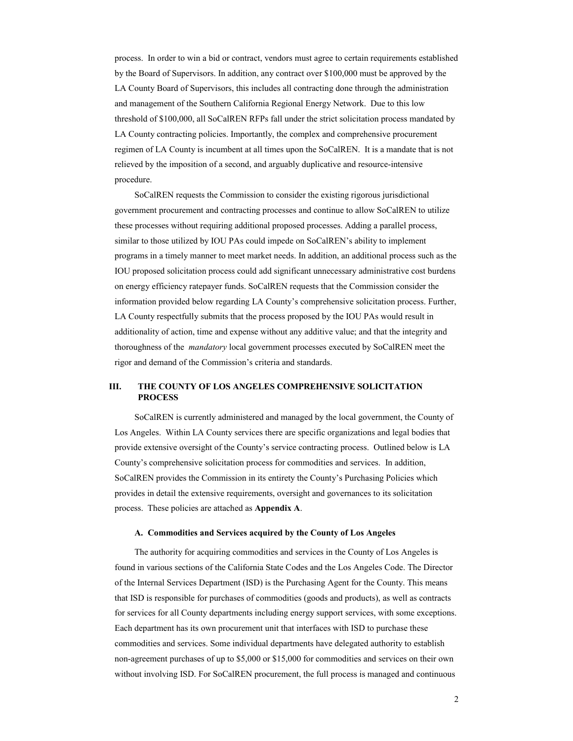process. In order to win a bid or contract, vendors must agree to certain requirements established by the Board of Supervisors. In addition, any contract over \$100,000 must be approved by the LA County Board of Supervisors, this includes all contracting done through the administration and management of the Southern California Regional Energy Network. Due to this low threshold of \$100,000, all SoCalREN RFPs fall under the strict solicitation process mandated by LA County contracting policies. Importantly, the complex and comprehensive procurement regimen of LA County is incumbent at all times upon the SoCalREN. It is a mandate that is not relieved by the imposition of a second, and arguably duplicative and resource-intensive procedure.

SoCalREN requests the Commission to consider the existing rigorous jurisdictional government procurement and contracting processes and continue to allow SoCalREN to utilize these processes without requiring additional proposed processes. Adding a parallel process, similar to those utilized by IOU PAs could impede on SoCalREN's ability to implement programs in a timely manner to meet market needs. In addition, an additional process such as the IOU proposed solicitation process could add significant unnecessary administrative cost burdens on energy efficiency ratepayer funds. SoCalREN requests that the Commission consider the information provided below regarding LA County's comprehensive solicitation process. Further, LA County respectfully submits that the process proposed by the IOU PAs would result in additionality of action, time and expense without any additive value; and that the integrity and thoroughness of the *mandatory* local government processes executed by SoCalREN meet the rigor and demand of the Commission's criteria and standards.

## **III. THE COUNTY OF LOS ANGELES COMPREHENSIVE SOLICITATION PROCESS**

SoCalREN is currently administered and managed by the local government, the County of Los Angeles. Within LA County services there are specific organizations and legal bodies that provide extensive oversight of the County's service contracting process. Outlined below is LA County's comprehensive solicitation process for commodities and services. In addition, SoCalREN provides the Commission in its entirety the County's Purchasing Policies which provides in detail the extensive requirements, oversight and governances to its solicitation process. These policies are attached as **Appendix A**.

#### **A. Commodities and Services acquired by the County of Los Angeles**

The authority for acquiring commodities and services in the County of Los Angeles is found in various sections of the California State Codes and the Los Angeles Code. The Director of the Internal Services Department (ISD) is the Purchasing Agent for the County. This means that ISD is responsible for purchases of commodities (goods and products), as well as contracts for services for all County departments including energy support services, with some exceptions. Each department has its own procurement unit that interfaces with ISD to purchase these commodities and services. Some individual departments have delegated authority to establish non-agreement purchases of up to \$5,000 or \$15,000 for commodities and services on their own without involving ISD. For SoCalREN procurement, the full process is managed and continuous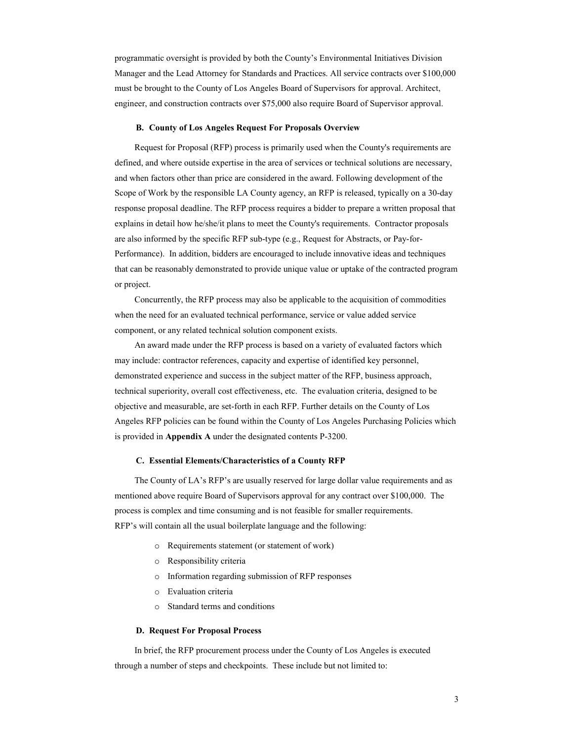programmatic oversight is provided by both the County's Environmental Initiatives Division Manager and the Lead Attorney for Standards and Practices. All service contracts over \$100,000 must be brought to the County of Los Angeles Board of Supervisors for approval. Architect, engineer, and construction contracts over \$75,000 also require Board of Supervisor approval.

#### **B. County of Los Angeles Request For Proposals Overview**

Request for Proposal (RFP) process is primarily used when the County's requirements are defined, and where outside expertise in the area of services or technical solutions are necessary, and when factors other than price are considered in the award. Following development of the Scope of Work by the responsible LA County agency, an RFP is released, typically on a 30-day response proposal deadline. The RFP process requires a bidder to prepare a written proposal that explains in detail how he/she/it plans to meet the County's requirements. Contractor proposals are also informed by the specific RFP sub-type (e.g., Request for Abstracts, or Pay-for-Performance). In addition, bidders are encouraged to include innovative ideas and techniques that can be reasonably demonstrated to provide unique value or uptake of the contracted program or project.

Concurrently, the RFP process may also be applicable to the acquisition of commodities when the need for an evaluated technical performance, service or value added service component, or any related technical solution component exists.

An award made under the RFP process is based on a variety of evaluated factors which may include: contractor references, capacity and expertise of identified key personnel, demonstrated experience and success in the subject matter of the RFP, business approach, technical superiority, overall cost effectiveness, etc. The evaluation criteria, designed to be objective and measurable, are set-forth in each RFP. Further details on the County of Los Angeles RFP policies can be found within the County of Los Angeles Purchasing Policies which is provided in **Appendix A** under the designated contents P-3200.

#### **C. Essential Elements/Characteristics of a County RFP**

The County of LA's RFP's are usually reserved for large dollar value requirements and as mentioned above require Board of Supervisors approval for any contract over \$100,000. The process is complex and time consuming and is not feasible for smaller requirements. RFP's will contain all the usual boilerplate language and the following:

- o Requirements statement (or statement of work)
- o Responsibility criteria
- o Information regarding submission of RFP responses
- o Evaluation criteria
- o Standard terms and conditions

#### **D. Request For Proposal Process**

In brief, the RFP procurement process under the County of Los Angeles is executed through a number of steps and checkpoints. These include but not limited to: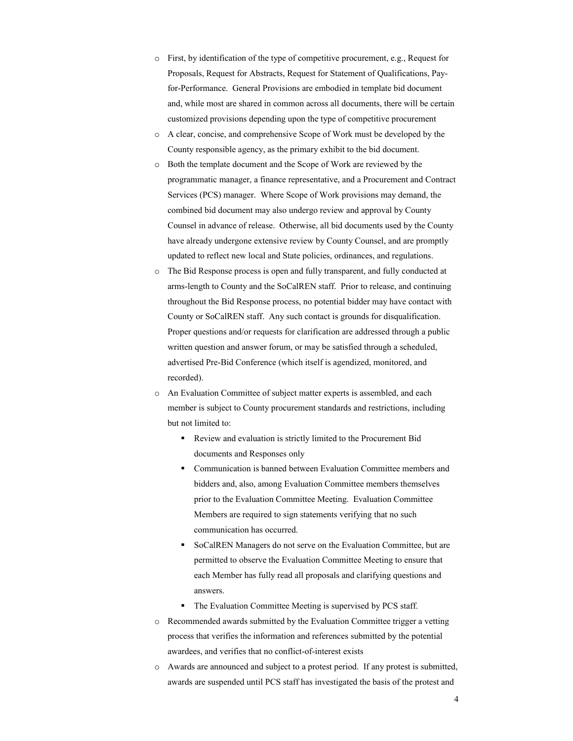- o First, by identification of the type of competitive procurement, e.g., Request for Proposals, Request for Abstracts, Request for Statement of Qualifications, Payfor-Performance. General Provisions are embodied in template bid document and, while most are shared in common across all documents, there will be certain customized provisions depending upon the type of competitive procurement
- o A clear, concise, and comprehensive Scope of Work must be developed by the County responsible agency, as the primary exhibit to the bid document.
- o Both the template document and the Scope of Work are reviewed by the programmatic manager, a finance representative, and a Procurement and Contract Services (PCS) manager. Where Scope of Work provisions may demand, the combined bid document may also undergo review and approval by County Counsel in advance of release. Otherwise, all bid documents used by the County have already undergone extensive review by County Counsel, and are promptly updated to reflect new local and State policies, ordinances, and regulations.
- o The Bid Response process is open and fully transparent, and fully conducted at arms-length to County and the SoCalREN staff. Prior to release, and continuing throughout the Bid Response process, no potential bidder may have contact with County or SoCalREN staff. Any such contact is grounds for disqualification. Proper questions and/or requests for clarification are addressed through a public written question and answer forum, or may be satisfied through a scheduled, advertised Pre-Bid Conference (which itself is agendized, monitored, and recorded).
- o An Evaluation Committee of subject matter experts is assembled, and each member is subject to County procurement standards and restrictions, including but not limited to:
	- Review and evaluation is strictly limited to the Procurement Bid documents and Responses only
	- Communication is banned between Evaluation Committee members and bidders and, also, among Evaluation Committee members themselves prior to the Evaluation Committee Meeting. Evaluation Committee Members are required to sign statements verifying that no such communication has occurred.
	- SoCalREN Managers do not serve on the Evaluation Committee, but are permitted to observe the Evaluation Committee Meeting to ensure that each Member has fully read all proposals and clarifying questions and answers.
	- The Evaluation Committee Meeting is supervised by PCS staff.
- o Recommended awards submitted by the Evaluation Committee trigger a vetting process that verifies the information and references submitted by the potential awardees, and verifies that no conflict-of-interest exists
- o Awards are announced and subject to a protest period. If any protest is submitted, awards are suspended until PCS staff has investigated the basis of the protest and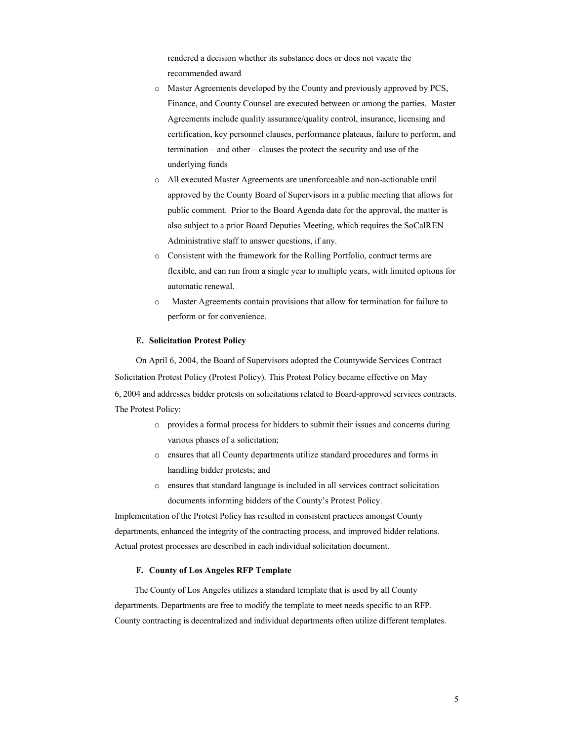rendered a decision whether its substance does or does not vacate the recommended award

- o Master Agreements developed by the County and previously approved by PCS, Finance, and County Counsel are executed between or among the parties. Master Agreements include quality assurance/quality control, insurance, licensing and certification, key personnel clauses, performance plateaus, failure to perform, and termination – and other – clauses the protect the security and use of the underlying funds
- o All executed Master Agreements are unenforceable and non-actionable until approved by the County Board of Supervisors in a public meeting that allows for public comment. Prior to the Board Agenda date for the approval, the matter is also subject to a prior Board Deputies Meeting, which requires the SoCalREN Administrative staff to answer questions, if any.
- o Consistent with the framework for the Rolling Portfolio, contract terms are flexible, and can run from a single year to multiple years, with limited options for automatic renewal.
- o Master Agreements contain provisions that allow for termination for failure to perform or for convenience.

#### **E. Solicitation Protest Policy**

On April 6, 2004, the Board of Supervisors adopted the Countywide Services Contract Solicitation Protest Policy (Protest Policy). This Protest Policy became effective on May 6, 2004 and addresses bidder protests on solicitations related to Board-approved services contracts. The Protest Policy:

- o provides a formal process for bidders to submit their issues and concerns during various phases of a solicitation;
- o ensures that all County departments utilize standard procedures and forms in handling bidder protests; and
- o ensures that standard language is included in all services contract solicitation documents informing bidders of the County's Protest Policy.

Implementation of the Protest Policy has resulted in consistent practices amongst County departments, enhanced the integrity of the contracting process, and improved bidder relations. Actual protest processes are described in each individual solicitation document.

#### **F. County of Los Angeles RFP Template**

The County of Los Angeles utilizes a standard template that is used by all County departments. Departments are free to modify the template to meet needs specific to an RFP. County contracting is decentralized and individual departments often utilize different templates.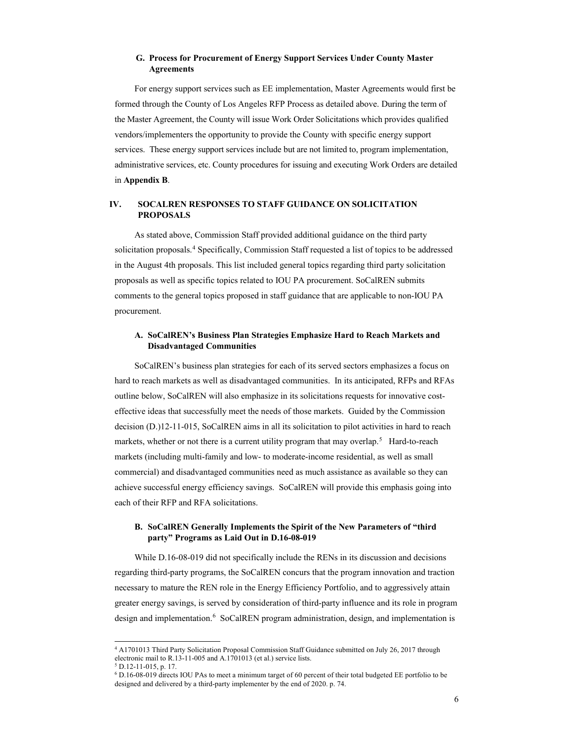### **G. Process for Procurement of Energy Support Services Under County Master Agreements**

For energy support services such as EE implementation, Master Agreements would first be formed through the County of Los Angeles RFP Process as detailed above. During the term of the Master Agreement, the County will issue Work Order Solicitations which provides qualified vendors/implementers the opportunity to provide the County with specific energy support services. These energy support services include but are not limited to, program implementation, administrative services, etc. County procedures for issuing and executing Work Orders are detailed in **Appendix B**.

## **IV. SOCALREN RESPONSES TO STAFF GUIDANCE ON SOLICITATION PROPOSALS**

As stated above, Commission Staff provided additional guidance on the third party solicitation proposals.<sup>4</sup> Specifically, Commission Staff requested a list of topics to be addressed in the August 4th proposals. This list included general topics regarding third party solicitation proposals as well as specific topics related to IOU PA procurement. SoCalREN submits comments to the general topics proposed in staff guidance that are applicable to non-IOU PA procurement.

### **A. SoCalREN's Business Plan Strategies Emphasize Hard to Reach Markets and Disadvantaged Communities**

SoCalREN's business plan strategies for each of its served sectors emphasizes a focus on hard to reach markets as well as disadvantaged communities. In its anticipated, RFPs and RFAs outline below, SoCalREN will also emphasize in its solicitations requests for innovative costeffective ideas that successfully meet the needs of those markets. Guided by the Commission decision (D.)12-11-015, SoCalREN aims in all its solicitation to pilot activities in hard to reach markets, whether or not there is a current utility program that may overlap.<sup>5</sup> Hard-to-reach markets (including multi-family and low- to moderate-income residential, as well as small commercial) and disadvantaged communities need as much assistance as available so they can achieve successful energy efficiency savings. SoCalREN will provide this emphasis going into each of their RFP and RFA solicitations.

### **B. SoCalREN Generally Implements the Spirit of the New Parameters of "third party" Programs as Laid Out in D.16-08-019**

While D.16-08-019 did not specifically include the RENs in its discussion and decisions regarding third-party programs, the SoCalREN concurs that the program innovation and traction necessary to mature the REN role in the Energy Efficiency Portfolio, and to aggressively attain greater energy savings, is served by consideration of third-party influence and its role in program design and implementation.<sup>6</sup> SoCalREN program administration, design, and implementation is

<sup>4</sup> A1701013 Third Party Solicitation Proposal Commission Staff Guidance submitted on July 26, 2017 through electronic mail to R.13-11-005 and A.1701013 (et al.) service lists.

 $5$  D.12-11-015, p. 17.

<sup>6</sup> D.16-08-019 directs IOU PAs to meet a minimum target of 60 percent of their total budgeted EE portfolio to be designed and delivered by a third-party implementer by the end of 2020. p. 74.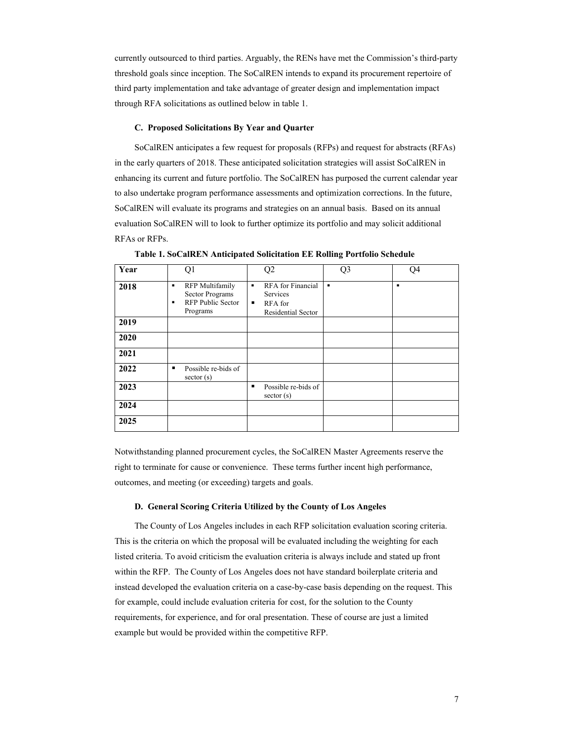currently outsourced to third parties. Arguably, the RENs have met the Commission's third-party threshold goals since inception. The SoCalREN intends to expand its procurement repertoire of third party implementation and take advantage of greater design and implementation impact through RFA solicitations as outlined below in table 1.

#### **C. Proposed Solicitations By Year and Quarter**

SoCalREN anticipates a few request for proposals (RFPs) and request for abstracts (RFAs) in the early quarters of 2018. These anticipated solicitation strategies will assist SoCalREN in enhancing its current and future portfolio. The SoCalREN has purposed the current calendar year to also undertake program performance assessments and optimization corrections. In the future, SoCalREN will evaluate its programs and strategies on an annual basis. Based on its annual evaluation SoCalREN will to look to further optimize its portfolio and may solicit additional RFAs or RFPs.

| Year | Q1                                                                                          | Q2                                                                              | Q <sub>3</sub> | O4 |
|------|---------------------------------------------------------------------------------------------|---------------------------------------------------------------------------------|----------------|----|
| 2018 | <b>RFP</b> Multifamily<br>٠<br>Sector Programs<br><b>RFP Public Sector</b><br>٠<br>Programs | RFA for Financial<br>٠<br>Services<br>RFA for<br>٠<br><b>Residential Sector</b> | ٠              | ٠  |
| 2019 |                                                                                             |                                                                                 |                |    |
| 2020 |                                                                                             |                                                                                 |                |    |
| 2021 |                                                                                             |                                                                                 |                |    |
| 2022 | Possible re-bids of<br>sector(s)                                                            |                                                                                 |                |    |
| 2023 |                                                                                             | Possible re-bids of<br>п<br>sector(s)                                           |                |    |
| 2024 |                                                                                             |                                                                                 |                |    |
| 2025 |                                                                                             |                                                                                 |                |    |

**Table 1. SoCalREN Anticipated Solicitation EE Rolling Portfolio Schedule** 

Notwithstanding planned procurement cycles, the SoCalREN Master Agreements reserve the right to terminate for cause or convenience. These terms further incent high performance, outcomes, and meeting (or exceeding) targets and goals.

#### **D. General Scoring Criteria Utilized by the County of Los Angeles**

The County of Los Angeles includes in each RFP solicitation evaluation scoring criteria. This is the criteria on which the proposal will be evaluated including the weighting for each listed criteria. To avoid criticism the evaluation criteria is always include and stated up front within the RFP. The County of Los Angeles does not have standard boilerplate criteria and instead developed the evaluation criteria on a case-by-case basis depending on the request. This for example, could include evaluation criteria for cost, for the solution to the County requirements, for experience, and for oral presentation. These of course are just a limited example but would be provided within the competitive RFP.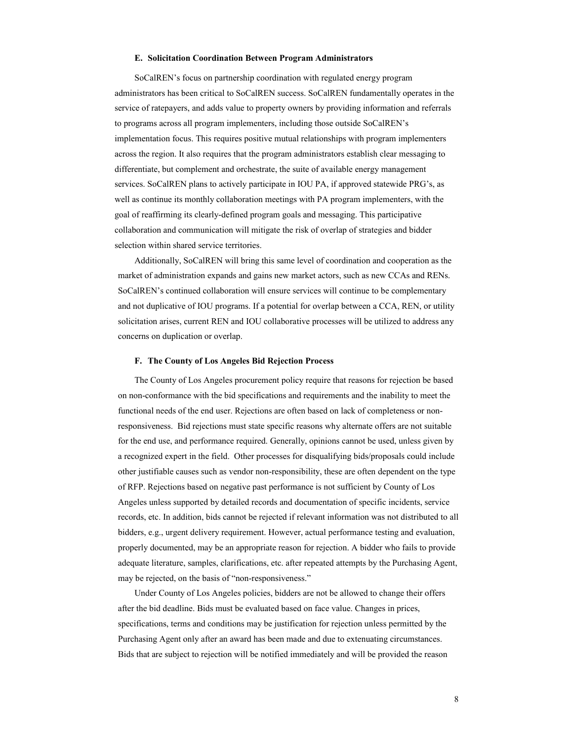#### **E. Solicitation Coordination Between Program Administrators**

SoCalREN's focus on partnership coordination with regulated energy program administrators has been critical to SoCalREN success. SoCalREN fundamentally operates in the service of ratepayers, and adds value to property owners by providing information and referrals to programs across all program implementers, including those outside SoCalREN's implementation focus. This requires positive mutual relationships with program implementers across the region. It also requires that the program administrators establish clear messaging to differentiate, but complement and orchestrate, the suite of available energy management services. SoCalREN plans to actively participate in IOU PA, if approved statewide PRG's, as well as continue its monthly collaboration meetings with PA program implementers, with the goal of reaffirming its clearly-defined program goals and messaging. This participative collaboration and communication will mitigate the risk of overlap of strategies and bidder selection within shared service territories.

Additionally, SoCalREN will bring this same level of coordination and cooperation as the market of administration expands and gains new market actors, such as new CCAs and RENs. SoCalREN's continued collaboration will ensure services will continue to be complementary and not duplicative of IOU programs. If a potential for overlap between a CCA, REN, or utility solicitation arises, current REN and IOU collaborative processes will be utilized to address any concerns on duplication or overlap.

#### **F. The County of Los Angeles Bid Rejection Process**

The County of Los Angeles procurement policy require that reasons for rejection be based on non-conformance with the bid specifications and requirements and the inability to meet the functional needs of the end user. Rejections are often based on lack of completeness or nonresponsiveness. Bid rejections must state specific reasons why alternate offers are not suitable for the end use, and performance required. Generally, opinions cannot be used, unless given by a recognized expert in the field. Other processes for disqualifying bids/proposals could include other justifiable causes such as vendor non-responsibility, these are often dependent on the type of RFP. Rejections based on negative past performance is not sufficient by County of Los Angeles unless supported by detailed records and documentation of specific incidents, service records, etc. In addition, bids cannot be rejected if relevant information was not distributed to all bidders, e.g., urgent delivery requirement. However, actual performance testing and evaluation, properly documented, may be an appropriate reason for rejection. A bidder who fails to provide adequate literature, samples, clarifications, etc. after repeated attempts by the Purchasing Agent, may be rejected, on the basis of "non-responsiveness."

Under County of Los Angeles policies, bidders are not be allowed to change their offers after the bid deadline. Bids must be evaluated based on face value. Changes in prices, specifications, terms and conditions may be justification for rejection unless permitted by the Purchasing Agent only after an award has been made and due to extenuating circumstances. Bids that are subject to rejection will be notified immediately and will be provided the reason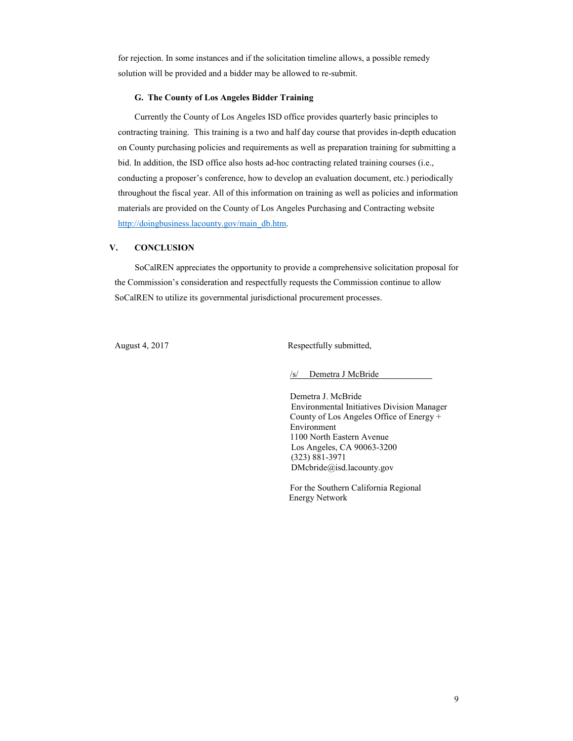for rejection. In some instances and if the solicitation timeline allows, a possible remedy solution will be provided and a bidder may be allowed to re-submit.

#### **G. The County of Los Angeles Bidder Training**

Currently the County of Los Angeles ISD office provides quarterly basic principles to contracting training. This training is a two and half day course that provides in-depth education on County purchasing policies and requirements as well as preparation training for submitting a bid. In addition, the ISD office also hosts ad-hoc contracting related training courses (i.e., conducting a proposer's conference, how to develop an evaluation document, etc.) periodically throughout the fiscal year. All of this information on training as well as policies and information materials are provided on the County of Los Angeles Purchasing and Contracting website http://doingbusiness.lacounty.gov/main\_db.htm.

### **V. CONCLUSION**

SoCalREN appreciates the opportunity to provide a comprehensive solicitation proposal for the Commission's consideration and respectfully requests the Commission continue to allow SoCalREN to utilize its governmental jurisdictional procurement processes.

August 4, 2017 Respectfully submitted,

/s/ Demetra J McBride

Demetra J. McBride Environmental Initiatives Division Manager County of Los Angeles Office of Energy + Environment 1100 North Eastern Avenue Los Angeles, CA 90063-3200 (323) 881-3971 DMcbride@isd.lacounty.gov

For the Southern California Regional Energy Network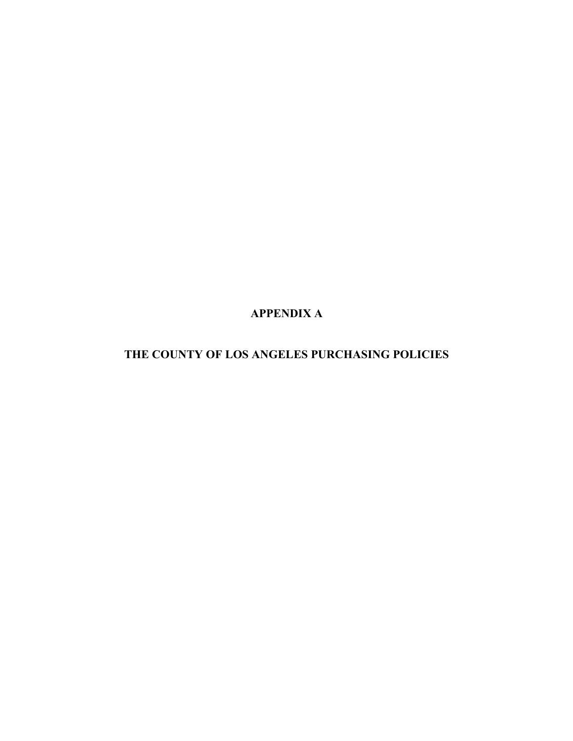**APPENDIX A**

**THE COUNTY OF LOS ANGELES PURCHASING POLICIES**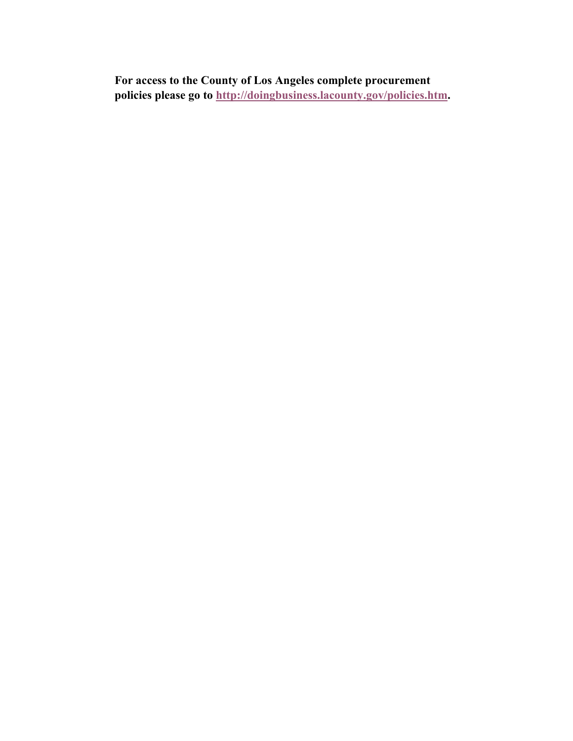**For access to the County of Los Angeles complete procurement policies please go to http://doingbusiness.lacounty.gov/policies.htm.**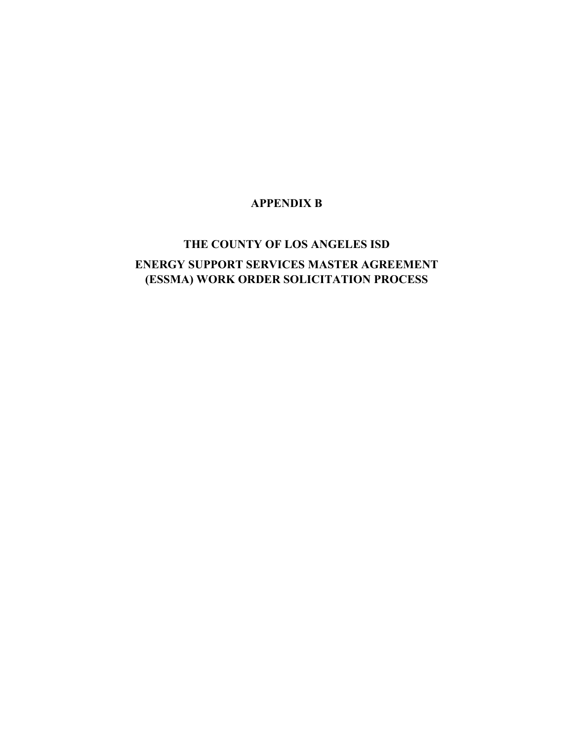# **APPENDIX B**

# **THE COUNTY OF LOS ANGELES ISD ENERGY SUPPORT SERVICES MASTER AGREEMENT (ESSMA) WORK ORDER SOLICITATION PROCESS**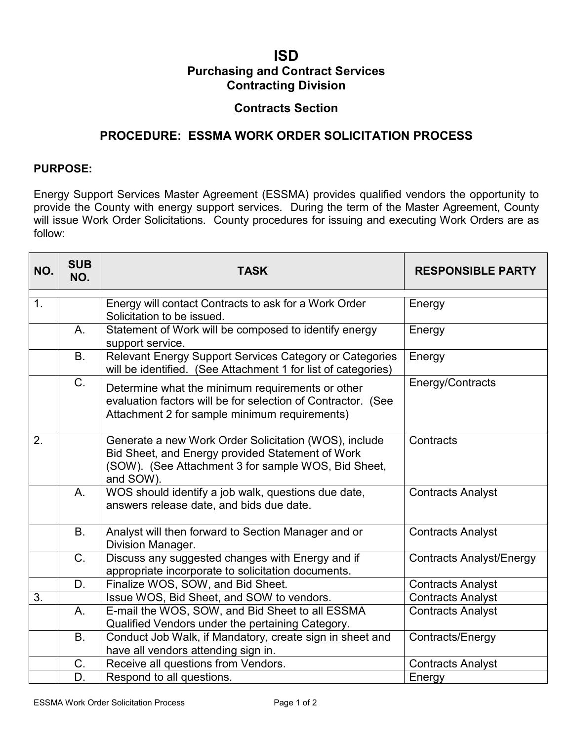# **ISD Purchasing and Contract Services Contracting Division**

# **Contracts Section**

# **PROCEDURE: ESSMA WORK ORDER SOLICITATION PROCESS**

## **PURPOSE:**

Energy Support Services Master Agreement (ESSMA) provides qualified vendors the opportunity to provide the County with energy support services. During the term of the Master Agreement, County will issue Work Order Solicitations. County procedures for issuing and executing Work Orders are as follow:

| NO.           | <b>SUB</b><br>NO. | <b>TASK</b>                                                                                                                                                                   | <b>RESPONSIBLE PARTY</b>        |
|---------------|-------------------|-------------------------------------------------------------------------------------------------------------------------------------------------------------------------------|---------------------------------|
| $\mathbf 1$ . |                   | Energy will contact Contracts to ask for a Work Order<br>Solicitation to be issued.                                                                                           | Energy                          |
|               | Α.                | Statement of Work will be composed to identify energy<br>support service.                                                                                                     | Energy                          |
|               | <b>B.</b>         | Relevant Energy Support Services Category or Categories<br>will be identified. (See Attachment 1 for list of categories)                                                      | Energy                          |
|               | C.                | Determine what the minimum requirements or other<br>evaluation factors will be for selection of Contractor. (See<br>Attachment 2 for sample minimum requirements)             | Energy/Contracts                |
| 2.            |                   | Generate a new Work Order Solicitation (WOS), include<br>Bid Sheet, and Energy provided Statement of Work<br>(SOW). (See Attachment 3 for sample WOS, Bid Sheet,<br>and SOW). | Contracts                       |
|               | A.                | WOS should identify a job walk, questions due date,<br>answers release date, and bids due date.                                                                               | <b>Contracts Analyst</b>        |
|               | <b>B.</b>         | Analyst will then forward to Section Manager and or<br>Division Manager.                                                                                                      | <b>Contracts Analyst</b>        |
|               | C.                | Discuss any suggested changes with Energy and if<br>appropriate incorporate to solicitation documents.                                                                        | <b>Contracts Analyst/Energy</b> |
|               | D.                | Finalize WOS, SOW, and Bid Sheet.                                                                                                                                             | <b>Contracts Analyst</b>        |
| 3.            |                   | Issue WOS, Bid Sheet, and SOW to vendors.                                                                                                                                     | <b>Contracts Analyst</b>        |
|               | Α.                | E-mail the WOS, SOW, and Bid Sheet to all ESSMA                                                                                                                               | <b>Contracts Analyst</b>        |
|               |                   | Qualified Vendors under the pertaining Category.                                                                                                                              |                                 |
|               | <b>B.</b>         | Conduct Job Walk, if Mandatory, create sign in sheet and<br>have all vendors attending sign in.                                                                               | Contracts/Energy                |
|               | C.                | Receive all questions from Vendors.                                                                                                                                           | <b>Contracts Analyst</b>        |
|               | D.                | Respond to all questions.                                                                                                                                                     | Energy                          |